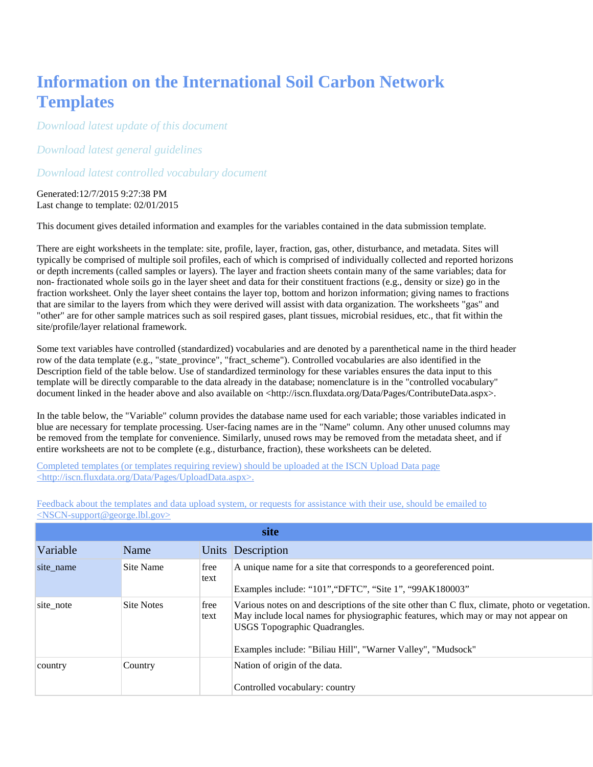## **Information on the International Soil Carbon Network Templates**

*[Download latest update of this document](http://bwc.lbl.gov/StaticReports/ISCN/TemplateSubmit.pdf)*

*[Download latest general guidelines](http://www.fluxdata.org/nscn/Data/DatasetInformation/SitePages/QuickStartGuide.aspx)*

*[Download latest controlled vocabulary document](http://bwc.lbl.gov/StaticReports/ISCN/TemplateCVs.pdf)*

Generated:12/7/2015 9:27:38 PM Last change to template: 02/01/2015

This document gives detailed information and examples for the variables contained in the data submission template.

There are eight worksheets in the template: site, profile, layer, fraction, gas, other, disturbance, and metadata. Sites will typically be comprised of multiple soil profiles, each of which is comprised of individually collected and reported horizons or depth increments (called samples or layers). The layer and fraction sheets contain many of the same variables; data for non- fractionated whole soils go in the layer sheet and data for their constituent fractions (e.g., density or size) go in the fraction worksheet. Only the layer sheet contains the layer top, bottom and horizon information; giving names to fractions that are similar to the layers from which they were derived will assist with data organization. The worksheets "gas" and "other" are for other sample matrices such as soil respired gases, plant tissues, microbial residues, etc., that fit within the site/profile/layer relational framework.

Some text variables have controlled (standardized) vocabularies and are denoted by a parenthetical name in the third header row of the data template (e.g., "state\_province", "fract\_scheme"). Controlled vocabularies are also identified in the Description field of the table below. Use of standardized terminology for these variables ensures the data input to this template will be directly comparable to the data already in the database; nomenclature is in the "controlled vocabulary" document linked in the header above and also available on <http://iscn.fluxdata.org/Data/Pages/ContributeData.aspx>.

In the table below, the "Variable" column provides the database name used for each variable; those variables indicated in blue are necessary for template processing. User-facing names are in the "Name" column. Any other unused columns may be removed from the template for convenience. Similarly, unused rows may be removed from the metadata sheet, and if entire worksheets are not to be complete (e.g., disturbance, fraction), these worksheets can be deleted.

[Completed templates \(or templates requiring review\) should be uploaded at the ISCN Upload Data page](http://iscn.fluxdata.org/Data/Pages/UploadData.aspx)  [<http://iscn.fluxdata.org/Data/Pages/UploadData.aspx>.](http://iscn.fluxdata.org/Data/Pages/UploadData.aspx)

|           | site              |              |                                                                                                                                                                                                                                                                                             |  |  |  |
|-----------|-------------------|--------------|---------------------------------------------------------------------------------------------------------------------------------------------------------------------------------------------------------------------------------------------------------------------------------------------|--|--|--|
| Variable  | Name              |              | Units Description                                                                                                                                                                                                                                                                           |  |  |  |
| site_name | Site Name         | free<br>text | A unique name for a site that corresponds to a georeferenced point.<br>Examples include: "101", "DFTC", "Site 1", "99AK180003"                                                                                                                                                              |  |  |  |
| site note | <b>Site Notes</b> | free<br>text | Various notes on and descriptions of the site other than C flux, climate, photo or vegetation.<br>May include local names for physiographic features, which may or may not appear on<br><b>USGS</b> Topographic Quadrangles.<br>Examples include: "Biliau Hill", "Warner Valley", "Mudsock" |  |  |  |
| country   | Country           |              | Nation of origin of the data.<br>Controlled vocabulary: country                                                                                                                                                                                                                             |  |  |  |

[Feedback about the templates and data upload system, or requests for assistance with their use, should be emailed to](mailto:nscn-support@george.lbl.gov)  [<NSCN-support@george.lbl.gov>](mailto:nscn-support@george.lbl.gov)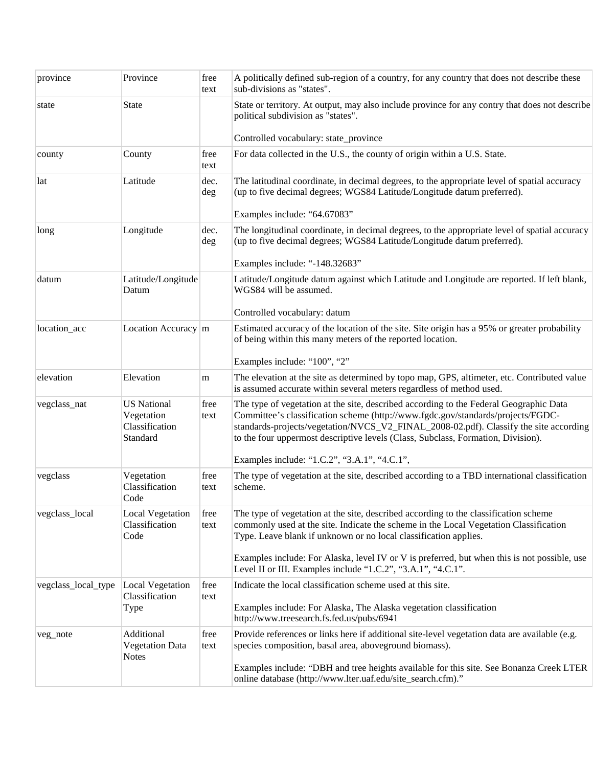| province            | Province                                                       | free<br>text | A politically defined sub-region of a country, for any country that does not describe these<br>sub-divisions as "states".                                                                                                                                                                                                                                                                              |  |
|---------------------|----------------------------------------------------------------|--------------|--------------------------------------------------------------------------------------------------------------------------------------------------------------------------------------------------------------------------------------------------------------------------------------------------------------------------------------------------------------------------------------------------------|--|
| state               | <b>State</b>                                                   |              | State or territory. At output, may also include province for any contry that does not describe<br>political subdivision as "states".                                                                                                                                                                                                                                                                   |  |
|                     |                                                                |              | Controlled vocabulary: state_province                                                                                                                                                                                                                                                                                                                                                                  |  |
| county              | County                                                         | free<br>text | For data collected in the U.S., the county of origin within a U.S. State.                                                                                                                                                                                                                                                                                                                              |  |
| lat                 | Latitude                                                       | dec.<br>deg  | The latitudinal coordinate, in decimal degrees, to the appropriate level of spatial accuracy<br>(up to five decimal degrees; WGS84 Latitude/Longitude datum preferred).<br>Examples include: "64.67083"                                                                                                                                                                                                |  |
| long                | Longitude                                                      | dec.<br>deg  | The longitudinal coordinate, in decimal degrees, to the appropriate level of spatial accuracy<br>(up to five decimal degrees; WGS84 Latitude/Longitude datum preferred).<br>Examples include: "-148.32683"                                                                                                                                                                                             |  |
| datum               | Latitude/Longitude<br>Datum                                    |              | Latitude/Longitude datum against which Latitude and Longitude are reported. If left blank,<br>WGS84 will be assumed.<br>Controlled vocabulary: datum                                                                                                                                                                                                                                                   |  |
| location_acc        | Location Accuracy m                                            |              | Estimated accuracy of the location of the site. Site origin has a 95% or greater probability<br>of being within this many meters of the reported location.                                                                                                                                                                                                                                             |  |
| elevation           | Elevation                                                      | m            | Examples include: "100", "2"<br>The elevation at the site as determined by topo map, GPS, altimeter, etc. Contributed value<br>is assumed accurate within several meters regardless of method used.                                                                                                                                                                                                    |  |
| vegclass_nat        | <b>US</b> National<br>Vegetation<br>Classification<br>Standard | free<br>text | The type of vegetation at the site, described according to the Federal Geographic Data<br>Committee's classification scheme (http://www.fgdc.gov/standards/projects/FGDC-<br>standards-projects/vegetation/NVCS_V2_FINAL_2008-02.pdf). Classify the site according<br>to the four uppermost descriptive levels (Class, Subclass, Formation, Division).<br>Examples include: "1.C.2", "3.A.1", "4.C.1", |  |
| vegclass            | Vegetation<br>Classification<br>Code                           | free<br>text | The type of vegetation at the site, described according to a TBD international classification<br>scheme.                                                                                                                                                                                                                                                                                               |  |
| vegclass_local      | <b>Local Vegetation</b><br>Classification<br>Code              | free<br>text | The type of vegetation at the site, described according to the classification scheme<br>commonly used at the site. Indicate the scheme in the Local Vegetation Classification<br>Type. Leave blank if unknown or no local classification applies.                                                                                                                                                      |  |
|                     |                                                                |              | Examples include: For Alaska, level IV or V is preferred, but when this is not possible, use<br>Level II or III. Examples include "1.C.2", "3.A.1", "4.C.1".                                                                                                                                                                                                                                           |  |
| vegclass_local_type | <b>Local Vegetation</b><br>Classification<br>Type              | free<br>text | Indicate the local classification scheme used at this site.<br>Examples include: For Alaska, The Alaska vegetation classification<br>http://www.treesearch.fs.fed.us/pubs/6941                                                                                                                                                                                                                         |  |
| veg_note            | Additional<br><b>Vegetation Data</b><br><b>Notes</b>           | free<br>text | Provide references or links here if additional site-level vegetation data are available (e.g.<br>species composition, basal area, aboveground biomass).<br>Examples include: "DBH and tree heights available for this site. See Bonanza Creek LTER                                                                                                                                                     |  |
|                     |                                                                |              | online database (http://www.lter.uaf.edu/site_search.cfm)."                                                                                                                                                                                                                                                                                                                                            |  |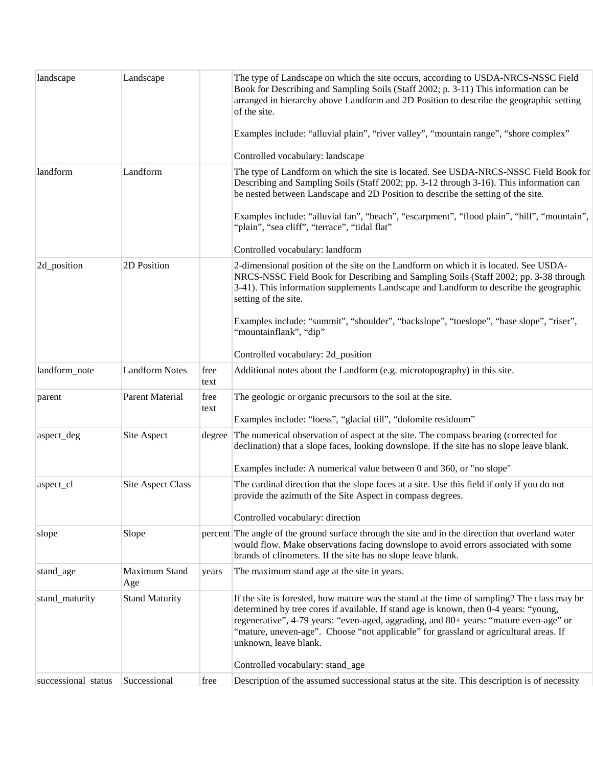| landscape           | Landscape                |              | The type of Landscape on which the site occurs, according to USDA-NRCS-NSSC Field<br>Book for Describing and Sampling Soils (Staff 2002; p. 3-11) This information can be<br>arranged in hierarchy above Landform and 2D Position to describe the geographic setting<br>of the site.                                                                                                            |
|---------------------|--------------------------|--------------|-------------------------------------------------------------------------------------------------------------------------------------------------------------------------------------------------------------------------------------------------------------------------------------------------------------------------------------------------------------------------------------------------|
|                     |                          |              | Examples include: "alluvial plain", "river valley", "mountain range", "shore complex"                                                                                                                                                                                                                                                                                                           |
|                     |                          |              | Controlled vocabulary: landscape                                                                                                                                                                                                                                                                                                                                                                |
| landform            | Landform                 |              | The type of Landform on which the site is located. See USDA-NRCS-NSSC Field Book for<br>Describing and Sampling Soils (Staff 2002; pp. 3-12 through 3-16). This information can<br>be nested between Landscape and 2D Position to describe the setting of the site.<br>Examples include: "alluvial fan", "beach", "escarpment", "flood plain", "hill", "mountain",                              |
|                     |                          |              | "plain", "sea cliff", "terrace", "tidal flat"                                                                                                                                                                                                                                                                                                                                                   |
|                     |                          |              | Controlled vocabulary: landform                                                                                                                                                                                                                                                                                                                                                                 |
| 2d_position         | 2D Position              |              | 2-dimensional position of the site on the Landform on which it is located. See USDA-<br>NRCS-NSSC Field Book for Describing and Sampling Soils (Staff 2002; pp. 3-38 through<br>3-41). This information supplements Landscape and Landform to describe the geographic<br>setting of the site.                                                                                                   |
|                     |                          |              | Examples include: "summit", "shoulder", "backslope", "toeslope", "base slope", "riser",<br>"mountainflank", "dip"                                                                                                                                                                                                                                                                               |
|                     |                          |              | Controlled vocabulary: 2d_position                                                                                                                                                                                                                                                                                                                                                              |
| landform_note       | <b>Landform Notes</b>    | free<br>text | Additional notes about the Landform (e.g. microtopography) in this site.                                                                                                                                                                                                                                                                                                                        |
| parent              | <b>Parent Material</b>   | free<br>text | The geologic or organic precursors to the soil at the site.<br>Examples include: "loess", "glacial till", "dolomite residuum"                                                                                                                                                                                                                                                                   |
| aspect_deg          | Site Aspect              | degree       | The numerical observation of aspect at the site. The compass bearing (corrected for                                                                                                                                                                                                                                                                                                             |
|                     |                          |              | declination) that a slope faces, looking downslope. If the site has no slope leave blank.                                                                                                                                                                                                                                                                                                       |
|                     |                          |              | Examples include: A numerical value between 0 and 360, or "no slope"                                                                                                                                                                                                                                                                                                                            |
| aspect_cl           | <b>Site Aspect Class</b> |              | The cardinal direction that the slope faces at a site. Use this field if only if you do not<br>provide the azimuth of the Site Aspect in compass degrees.                                                                                                                                                                                                                                       |
|                     |                          |              | Controlled vocabulary: direction                                                                                                                                                                                                                                                                                                                                                                |
| slope               | Slope                    |              | percent The angle of the ground surface through the site and in the direction that overland water<br>would flow. Make observations facing downslope to avoid errors associated with some<br>brands of clinometers. If the site has no slope leave blank.                                                                                                                                        |
| stand_age           | Maximum Stand<br>Age     | years        | The maximum stand age at the site in years.                                                                                                                                                                                                                                                                                                                                                     |
| stand_maturity      | <b>Stand Maturity</b>    |              | If the site is forested, how mature was the stand at the time of sampling? The class may be<br>determined by tree cores if available. If stand age is known, then 0-4 years: "young,<br>regenerative", 4-79 years: "even-aged, aggrading, and 80+ years: "mature even-age" or<br>"mature, uneven-age". Choose "not applicable" for grassland or agricultural areas. If<br>unknown, leave blank. |
|                     |                          |              | Controlled vocabulary: stand_age                                                                                                                                                                                                                                                                                                                                                                |
| successional status | Successional             | free         | Description of the assumed successional status at the site. This description is of necessity                                                                                                                                                                                                                                                                                                    |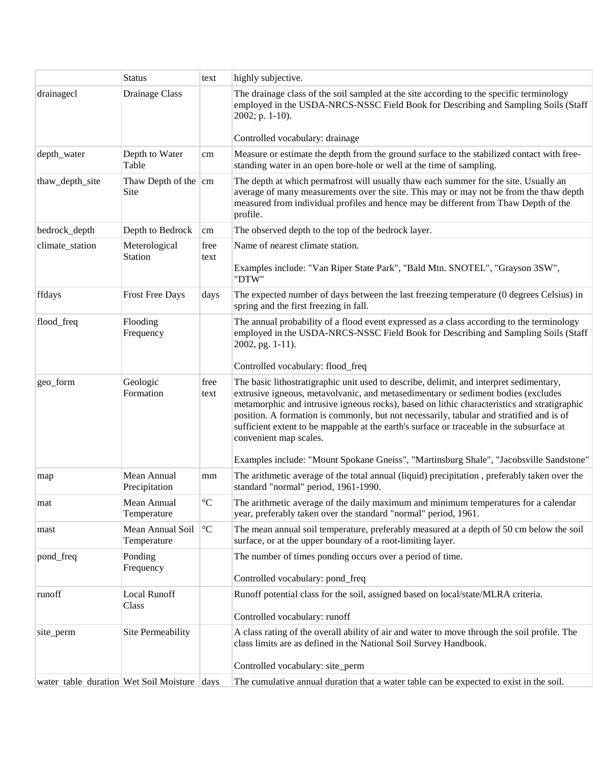|                                             | <b>Status</b>                        | text              | highly subjective.                                                                                                                                                                                                                                                                                                                                                                                                                                                                                                                                                                       |  |
|---------------------------------------------|--------------------------------------|-------------------|------------------------------------------------------------------------------------------------------------------------------------------------------------------------------------------------------------------------------------------------------------------------------------------------------------------------------------------------------------------------------------------------------------------------------------------------------------------------------------------------------------------------------------------------------------------------------------------|--|
| drainagecl                                  | Drainage Class                       |                   | The drainage class of the soil sampled at the site according to the specific terminology<br>employed in the USDA-NRCS-NSSC Field Book for Describing and Sampling Soils (Staff<br>2002; p. 1-10).                                                                                                                                                                                                                                                                                                                                                                                        |  |
|                                             |                                      |                   | Controlled vocabulary: drainage                                                                                                                                                                                                                                                                                                                                                                                                                                                                                                                                                          |  |
| depth_water                                 | Depth to Water<br>Table              | cm                | Measure or estimate the depth from the ground surface to the stabilized contact with free-<br>standing water in an open bore-hole or well at the time of sampling.                                                                                                                                                                                                                                                                                                                                                                                                                       |  |
| thaw_depth_site                             | Thaw Depth of the $\vert$ cm<br>Site |                   | The depth at which permafrost will usually thaw each summer for the site. Usually an<br>average of many measurements over the site. This may or may not be from the thaw depth<br>measured from individual profiles and hence may be different from Thaw Depth of the<br>profile.                                                                                                                                                                                                                                                                                                        |  |
| bedrock_depth                               | Depth to Bedrock                     | cm                | The observed depth to the top of the bedrock layer.                                                                                                                                                                                                                                                                                                                                                                                                                                                                                                                                      |  |
| climate_station                             | Meterological<br>Station             | free<br>text      | Name of nearest climate station.<br>Examples include: "Van Riper State Park", "Bald Mtn. SNOTEL", "Grayson 3SW",<br>"DTW"                                                                                                                                                                                                                                                                                                                                                                                                                                                                |  |
| ffdays                                      | <b>Frost Free Days</b>               | days              | The expected number of days between the last freezing temperature (0 degrees Celsius) in<br>spring and the first freezing in fall.                                                                                                                                                                                                                                                                                                                                                                                                                                                       |  |
| flood_freq                                  | Flooding<br>Frequency                |                   | The annual probability of a flood event expressed as a class according to the terminology<br>employed in the USDA-NRCS-NSSC Field Book for Describing and Sampling Soils (Staff<br>2002, pg. 1-11).<br>Controlled vocabulary: flood_freq                                                                                                                                                                                                                                                                                                                                                 |  |
| geo_form                                    | Geologic<br>Formation                | free<br>text      | The basic lithostratigraphic unit used to describe, delimit, and interpret sedimentary,<br>extrusive igneous, metavolvanic, and metasedimentary or sediment bodies (excludes<br>metamorphic and intrusive igneous rocks), based on lithic characteristics and stratigraphic<br>position. A formation is commonly, but not necessarily, tabular and stratified and is of<br>sufficient extent to be mappable at the earth's surface or traceable in the subsurface at<br>convenient map scales.<br>Examples include: "Mount Spokane Gneiss", "Martinsburg Shale", "Jacobsville Sandstone" |  |
| map                                         | Mean Annual<br>Precipitation         | mm                | The arithmetic average of the total annual (liquid) precipitation, preferably taken over the<br>standard "normal" period, 1961-1990.                                                                                                                                                                                                                                                                                                                                                                                                                                                     |  |
| mat                                         | Mean Annual<br>Temperature           | $^{\circ}{\rm C}$ | The arithmetic average of the daily maximum and minimum temperatures for a calendar<br>year, preferably taken over the standard "normal" period, 1961.                                                                                                                                                                                                                                                                                                                                                                                                                                   |  |
| mast                                        | Mean Annual Soil<br>Temperature      | $^{\circ}{\rm C}$ | The mean annual soil temperature, preferably measured at a depth of 50 cm below the soil<br>surface, or at the upper boundary of a root-limiting layer.                                                                                                                                                                                                                                                                                                                                                                                                                                  |  |
| pond_freq                                   | Ponding<br>Frequency                 |                   | The number of times ponding occurs over a period of time.<br>Controlled vocabulary: pond_freq                                                                                                                                                                                                                                                                                                                                                                                                                                                                                            |  |
| runoff                                      | <b>Local Runoff</b><br>Class         |                   | Runoff potential class for the soil, assigned based on local/state/MLRA criteria.<br>Controlled vocabulary: runoff                                                                                                                                                                                                                                                                                                                                                                                                                                                                       |  |
| site_perm                                   | Site Permeability                    |                   | A class rating of the overall ability of air and water to move through the soil profile. The<br>class limits are as defined in the National Soil Survey Handbook.<br>Controlled vocabulary: site_perm                                                                                                                                                                                                                                                                                                                                                                                    |  |
| water table duration Wet Soil Moisture days |                                      |                   | The cumulative annual duration that a water table can be expected to exist in the soil.                                                                                                                                                                                                                                                                                                                                                                                                                                                                                                  |  |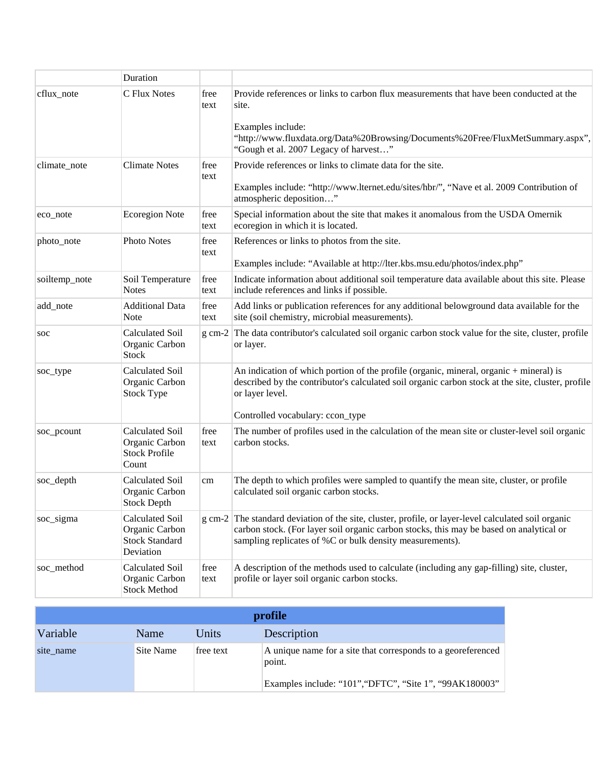|               | Duration                                                                |              |                                                                                                                                                                                                                                                            |
|---------------|-------------------------------------------------------------------------|--------------|------------------------------------------------------------------------------------------------------------------------------------------------------------------------------------------------------------------------------------------------------------|
| cflux_note    | C Flux Notes                                                            | free<br>text | Provide references or links to carbon flux measurements that have been conducted at the<br>site.                                                                                                                                                           |
|               |                                                                         |              | Examples include:<br>"http://www.fluxdata.org/Data%20Browsing/Documents%20Free/FluxMetSummary.aspx",<br>"Gough et al. 2007 Legacy of harvest"                                                                                                              |
| climate_note  | <b>Climate Notes</b>                                                    | free<br>text | Provide references or links to climate data for the site.<br>Examples include: "http://www.lternet.edu/sites/hbr/", "Nave et al. 2009 Contribution of<br>atmospheric deposition"                                                                           |
| eco_note      | <b>Ecoregion Note</b>                                                   | free<br>text | Special information about the site that makes it anomalous from the USDA Omernik<br>ecoregion in which it is located.                                                                                                                                      |
| photo_note    | Photo Notes                                                             | free<br>text | References or links to photos from the site.<br>Examples include: "Available at http://lter.kbs.msu.edu/photos/index.php"                                                                                                                                  |
| soiltemp_note | Soil Temperature<br><b>Notes</b>                                        | free<br>text | Indicate information about additional soil temperature data available about this site. Please<br>include references and links if possible.                                                                                                                 |
| add_note      | <b>Additional Data</b><br><b>Note</b>                                   | free<br>text | Add links or publication references for any additional belowground data available for the<br>site (soil chemistry, microbial measurements).                                                                                                                |
| soc           | Calculated Soil<br>Organic Carbon<br><b>Stock</b>                       | $g$ cm-2     | The data contributor's calculated soil organic carbon stock value for the site, cluster, profile<br>or layer.                                                                                                                                              |
| soc_type      | Calculated Soil<br>Organic Carbon<br><b>Stock Type</b>                  |              | An indication of which portion of the profile (organic, mineral, organic + mineral) is<br>described by the contributor's calculated soil organic carbon stock at the site, cluster, profile<br>or layer level.<br>Controlled vocabulary: ccon_type         |
| soc_pcount    | Calculated Soil<br>Organic Carbon<br><b>Stock Profile</b><br>Count      | free<br>text | The number of profiles used in the calculation of the mean site or cluster-level soil organic<br>carbon stocks.                                                                                                                                            |
| soc_depth     | Calculated Soil<br>Organic Carbon<br><b>Stock Depth</b>                 | cm           | The depth to which profiles were sampled to quantify the mean site, cluster, or profile<br>calculated soil organic carbon stocks.                                                                                                                          |
| soc_sigma     | Calculated Soil<br>Organic Carbon<br><b>Stock Standard</b><br>Deviation |              | g cm-2 The standard deviation of the site, cluster, profile, or layer-level calculated soil organic<br>carbon stock. (For layer soil organic carbon stocks, this may be based on analytical or<br>sampling replicates of %C or bulk density measurements). |
| soc method    | Calculated Soil<br>Organic Carbon<br><b>Stock Method</b>                | free<br>text | A description of the methods used to calculate (including any gap-filling) site, cluster,<br>profile or layer soil organic carbon stocks.                                                                                                                  |

| profile   |             |           |                                                                                                                                   |
|-----------|-------------|-----------|-----------------------------------------------------------------------------------------------------------------------------------|
| Variable  | <b>Name</b> | Units     | Description                                                                                                                       |
| site name | Site Name   | free text | A unique name for a site that corresponds to a georeferenced<br>point.<br>Examples include: "101", "DFTC", "Site 1", "99AK180003" |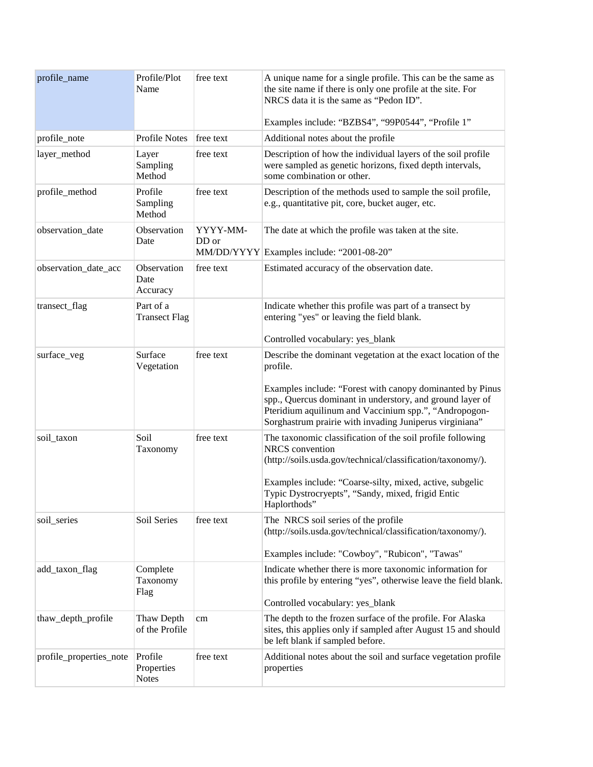| profile_name            | Profile/Plot<br>Name                  | free text         | A unique name for a single profile. This can be the same as<br>the site name if there is only one profile at the site. For<br>NRCS data it is the same as "Pedon ID".<br>Examples include: "BZBS4", "99P0544", "Profile 1"                                                                                                                      |
|-------------------------|---------------------------------------|-------------------|-------------------------------------------------------------------------------------------------------------------------------------------------------------------------------------------------------------------------------------------------------------------------------------------------------------------------------------------------|
| profile_note            | <b>Profile Notes</b>                  | free text         | Additional notes about the profile                                                                                                                                                                                                                                                                                                              |
| layer_method            | Layer<br>Sampling<br>Method           | free text         | Description of how the individual layers of the soil profile<br>were sampled as genetic horizons, fixed depth intervals,<br>some combination or other.                                                                                                                                                                                          |
| profile_method          | Profile<br>Sampling<br>Method         | free text         | Description of the methods used to sample the soil profile,<br>e.g., quantitative pit, core, bucket auger, etc.                                                                                                                                                                                                                                 |
| observation_date        | Observation<br>Date                   | YYYY-MM-<br>DD or | The date at which the profile was taken at the site.<br>MM/DD/YYYY Examples include: "2001-08-20"                                                                                                                                                                                                                                               |
| observation_date_acc    | Observation<br>Date<br>Accuracy       | free text         | Estimated accuracy of the observation date.                                                                                                                                                                                                                                                                                                     |
| transect_flag           | Part of a<br><b>Transect Flag</b>     |                   | Indicate whether this profile was part of a transect by<br>entering "yes" or leaving the field blank.<br>Controlled vocabulary: yes_blank                                                                                                                                                                                                       |
| surface_veg             | Surface<br>Vegetation                 | free text         | Describe the dominant vegetation at the exact location of the<br>profile.<br>Examples include: "Forest with canopy dominanted by Pinus<br>spp., Quercus dominant in understory, and ground layer of<br>Pteridium aquilinum and Vaccinium spp.", "Andropogon-                                                                                    |
| soil_taxon              | Soil<br>Taxonomy                      | free text         | Sorghastrum prairie with invading Juniperus virginiana"<br>The taxonomic classification of the soil profile following<br><b>NRCS</b> convention<br>(http://soils.usda.gov/technical/classification/taxonomy/).<br>Examples include: "Coarse-silty, mixed, active, subgelic<br>Typic Dystrocryepts", "Sandy, mixed, frigid Entic<br>Haplorthods" |
| soil_series             | Soil Series                           | free text         | The NRCS soil series of the profile<br>(http://soils.usda.gov/technical/classification/taxonomy/).<br>Examples include: "Cowboy", "Rubicon", "Tawas"                                                                                                                                                                                            |
| add_taxon_flag          | Complete<br>Taxonomy<br>Flag          |                   | Indicate whether there is more taxonomic information for<br>this profile by entering "yes", otherwise leave the field blank.<br>Controlled vocabulary: yes_blank                                                                                                                                                                                |
| thaw_depth_profile      | Thaw Depth<br>of the Profile          | cm                | The depth to the frozen surface of the profile. For Alaska<br>sites, this applies only if sampled after August 15 and should<br>be left blank if sampled before.                                                                                                                                                                                |
| profile_properties_note | Profile<br>Properties<br><b>Notes</b> | free text         | Additional notes about the soil and surface vegetation profile<br>properties                                                                                                                                                                                                                                                                    |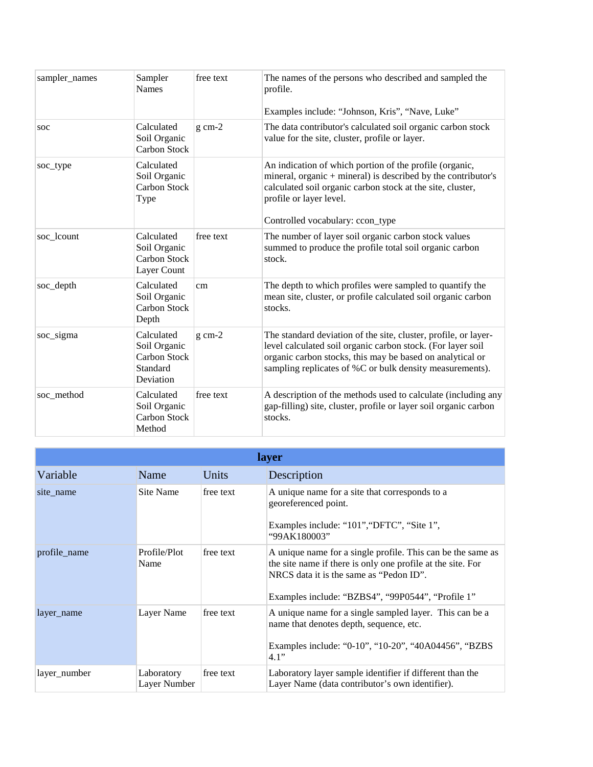| sampler_names | Sampler<br><b>Names</b>                                                    | free text | The names of the persons who described and sampled the<br>profile.<br>Examples include: "Johnson, Kris", "Nave, Luke"                                                                                                                                   |
|---------------|----------------------------------------------------------------------------|-----------|---------------------------------------------------------------------------------------------------------------------------------------------------------------------------------------------------------------------------------------------------------|
| soc           | Calculated<br>Soil Organic<br>Carbon Stock                                 | $g$ cm-2  | The data contributor's calculated soil organic carbon stock<br>value for the site, cluster, profile or layer.                                                                                                                                           |
| soc_type      | Calculated<br>Soil Organic<br><b>Carbon Stock</b><br>Type                  |           | An indication of which portion of the profile (organic,<br>mineral, organic $+$ mineral) is described by the contributor's<br>calculated soil organic carbon stock at the site, cluster,<br>profile or layer level.<br>Controlled vocabulary: ccon_type |
| soc_lcount    | Calculated<br>Soil Organic<br><b>Carbon Stock</b><br>Layer Count           | free text | The number of layer soil organic carbon stock values<br>summed to produce the profile total soil organic carbon<br>stock.                                                                                                                               |
| soc_depth     | Calculated<br>Soil Organic<br>Carbon Stock<br>Depth                        | cm        | The depth to which profiles were sampled to quantify the<br>mean site, cluster, or profile calculated soil organic carbon<br>stocks.                                                                                                                    |
| soc_sigma     | Calculated<br>Soil Organic<br><b>Carbon Stock</b><br>Standard<br>Deviation | $g$ cm-2  | The standard deviation of the site, cluster, profile, or layer-<br>level calculated soil organic carbon stock. (For layer soil<br>organic carbon stocks, this may be based on analytical or<br>sampling replicates of %C or bulk density measurements). |
| soc method    | Calculated<br>Soil Organic<br><b>Carbon Stock</b><br>Method                | free text | A description of the methods used to calculate (including any<br>gap-filling) site, cluster, profile or layer soil organic carbon<br>stocks.                                                                                                            |

| layer        |                            |           |                                                                                                                                                                                                                            |
|--------------|----------------------------|-----------|----------------------------------------------------------------------------------------------------------------------------------------------------------------------------------------------------------------------------|
| Variable     | Name                       | Units     | Description                                                                                                                                                                                                                |
| site name    | Site Name                  | free text | A unique name for a site that corresponds to a<br>georeferenced point.<br>Examples include: "101", "DFTC", "Site 1",<br>"99AK180003"                                                                                       |
| profile_name | Profile/Plot<br>Name       | free text | A unique name for a single profile. This can be the same as<br>the site name if there is only one profile at the site. For<br>NRCS data it is the same as "Pedon ID".<br>Examples include: "BZBS4", "99P0544", "Profile 1" |
| layer_name   | Layer Name                 | free text | A unique name for a single sampled layer. This can be a<br>name that denotes depth, sequence, etc.<br>Examples include: "0-10", "10-20", "40A04456", "BZBS<br>4.1"                                                         |
| layer_number | Laboratory<br>Layer Number | free text | Laboratory layer sample identifier if different than the<br>Layer Name (data contributor's own identifier).                                                                                                                |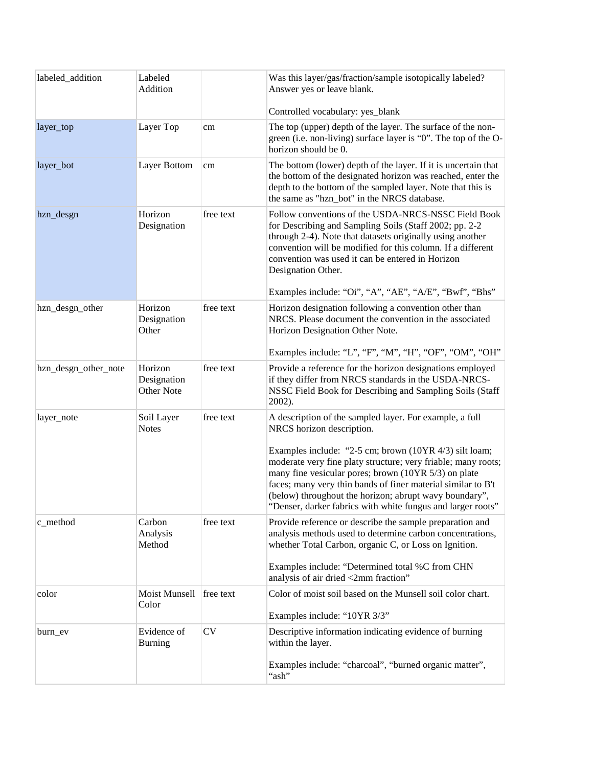| labeled_addition     | Labeled<br>Addition                  |           | Was this layer/gas/fraction/sample isotopically labeled?<br>Answer yes or leave blank.                                                                                                                                                                                                                                                                                        |
|----------------------|--------------------------------------|-----------|-------------------------------------------------------------------------------------------------------------------------------------------------------------------------------------------------------------------------------------------------------------------------------------------------------------------------------------------------------------------------------|
|                      |                                      |           | Controlled vocabulary: yes_blank                                                                                                                                                                                                                                                                                                                                              |
| layer_top            | Layer Top                            | cm        | The top (upper) depth of the layer. The surface of the non-<br>green (i.e. non-living) surface layer is "0". The top of the O-<br>horizon should be 0.                                                                                                                                                                                                                        |
| layer_bot            | Layer Bottom                         | cm        | The bottom (lower) depth of the layer. If it is uncertain that<br>the bottom of the designated horizon was reached, enter the<br>depth to the bottom of the sampled layer. Note that this is<br>the same as "hzn_bot" in the NRCS database.                                                                                                                                   |
| hzn_desgn            | Horizon<br>Designation               | free text | Follow conventions of the USDA-NRCS-NSSC Field Book<br>for Describing and Sampling Soils (Staff 2002; pp. 2-2<br>through 2-4). Note that datasets originally using another<br>convention will be modified for this column. If a different<br>convention was used it can be entered in Horizon<br>Designation Other.<br>Examples include: "Oi", "A", "AE", "A/E", "Bwf", "Bhs" |
| hzn_desgn_other      | Horizon                              | free text | Horizon designation following a convention other than                                                                                                                                                                                                                                                                                                                         |
|                      | Designation<br>Other                 |           | NRCS. Please document the convention in the associated<br>Horizon Designation Other Note.                                                                                                                                                                                                                                                                                     |
|                      |                                      |           | Examples include: "L", "F", "M", "H", "OF", "OM", "OH"                                                                                                                                                                                                                                                                                                                        |
| hzn_desgn_other_note | Horizon<br>Designation<br>Other Note | free text | Provide a reference for the horizon designations employed<br>if they differ from NRCS standards in the USDA-NRCS-<br>NSSC Field Book for Describing and Sampling Soils (Staff<br>2002).                                                                                                                                                                                       |
| layer_note           | Soil Layer<br><b>Notes</b>           | free text | A description of the sampled layer. For example, a full<br>NRCS horizon description.                                                                                                                                                                                                                                                                                          |
|                      |                                      |           | Examples include: "2-5 cm; brown (10YR 4/3) silt loam;<br>moderate very fine platy structure; very friable; many roots;<br>many fine vesicular pores; brown (10YR 5/3) on plate<br>faces; many very thin bands of finer material similar to B't<br>(below) throughout the horizon; abrupt wavy boundary",<br>"Denser, darker fabrics with white fungus and larger roots'      |
| c_method             | Carbon<br>Analysis<br>Method         | free text | Provide reference or describe the sample preparation and<br>analysis methods used to determine carbon concentrations,<br>whether Total Carbon, organic C, or Loss on Ignition.                                                                                                                                                                                                |
|                      |                                      |           | Examples include: "Determined total %C from CHN<br>analysis of air dried <2mm fraction"                                                                                                                                                                                                                                                                                       |
| color                | Moist Munsell<br>Color               | free text | Color of moist soil based on the Munsell soil color chart.<br>Examples include: "10YR 3/3"                                                                                                                                                                                                                                                                                    |
|                      |                                      |           |                                                                                                                                                                                                                                                                                                                                                                               |
| burn ev              | Evidence of<br><b>Burning</b>        | <b>CV</b> | Descriptive information indicating evidence of burning<br>within the layer.                                                                                                                                                                                                                                                                                                   |
|                      |                                      |           | Examples include: "charcoal", "burned organic matter",<br>"ash"                                                                                                                                                                                                                                                                                                               |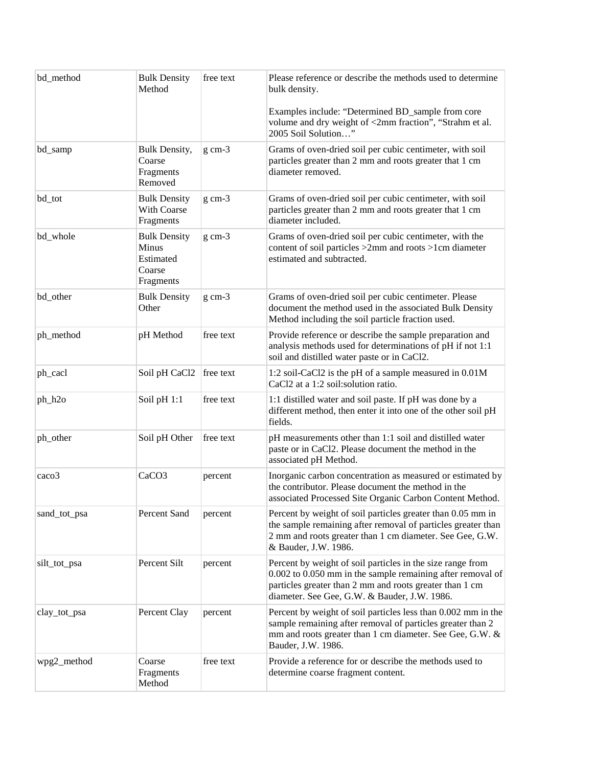| bd_method    | <b>Bulk Density</b><br>Method                                    | free text   | Please reference or describe the methods used to determine<br>bulk density.<br>Examples include: "Determined BD_sample from core                                                                                                    |
|--------------|------------------------------------------------------------------|-------------|-------------------------------------------------------------------------------------------------------------------------------------------------------------------------------------------------------------------------------------|
|              |                                                                  |             | volume and dry weight of <2mm fraction", "Strahm et al.<br>2005 Soil Solution"                                                                                                                                                      |
| bd_samp      | Bulk Density,<br>Coarse<br>Fragments<br>Removed                  | $g$ cm- $3$ | Grams of oven-dried soil per cubic centimeter, with soil<br>particles greater than 2 mm and roots greater that 1 cm<br>diameter removed.                                                                                            |
| bd_tot       | <b>Bulk Density</b><br>With Coarse<br>Fragments                  | $g$ cm- $3$ | Grams of oven-dried soil per cubic centimeter, with soil<br>particles greater than 2 mm and roots greater that 1 cm<br>diameter included.                                                                                           |
| bd_whole     | <b>Bulk Density</b><br>Minus<br>Estimated<br>Coarse<br>Fragments | $g$ cm- $3$ | Grams of oven-dried soil per cubic centimeter, with the<br>content of soil particles >2mm and roots >1cm diameter<br>estimated and subtracted.                                                                                      |
| bd_other     | <b>Bulk Density</b><br>Other                                     | $g$ cm- $3$ | Grams of oven-dried soil per cubic centimeter. Please<br>document the method used in the associated Bulk Density<br>Method including the soil particle fraction used.                                                               |
| ph_method    | pH Method                                                        | free text   | Provide reference or describe the sample preparation and<br>analysis methods used for determinations of pH if not 1:1<br>soil and distilled water paste or in CaCl2.                                                                |
| ph_cacl      | Soil pH CaCl2                                                    | free text   | 1:2 soil-CaCl2 is the pH of a sample measured in 0.01M<br>CaCl2 at a 1:2 soil:solution ratio.                                                                                                                                       |
| ph_h2o       | Soil pH 1:1                                                      | free text   | 1:1 distilled water and soil paste. If pH was done by a<br>different method, then enter it into one of the other soil pH<br>fields.                                                                                                 |
| ph_other     | Soil pH Other                                                    | free text   | pH measurements other than 1:1 soil and distilled water<br>paste or in CaCl2. Please document the method in the<br>associated pH Method.                                                                                            |
| caco3        | CaCO <sub>3</sub>                                                | percent     | Inorganic carbon concentration as measured or estimated by<br>the contributor. Please document the method in the<br>associated Processed Site Organic Carbon Content Method.                                                        |
| sand_tot_psa | Percent Sand                                                     | percent     | Percent by weight of soil particles greater than 0.05 mm in<br>the sample remaining after removal of particles greater than<br>2 mm and roots greater than 1 cm diameter. See Gee, G.W.<br>& Bauder, J.W. 1986.                     |
| silt_tot_psa | Percent Silt                                                     | percent     | Percent by weight of soil particles in the size range from<br>0.002 to 0.050 mm in the sample remaining after removal of<br>particles greater than 2 mm and roots greater than 1 cm<br>diameter. See Gee, G.W. & Bauder, J.W. 1986. |
| clay_tot_psa | Percent Clay                                                     | percent     | Percent by weight of soil particles less than 0.002 mm in the<br>sample remaining after removal of particles greater than 2<br>mm and roots greater than 1 cm diameter. See Gee, G.W. &<br>Bauder, J.W. 1986.                       |
| wpg2_method  | Coarse<br>Fragments<br>Method                                    | free text   | Provide a reference for or describe the methods used to<br>determine coarse fragment content.                                                                                                                                       |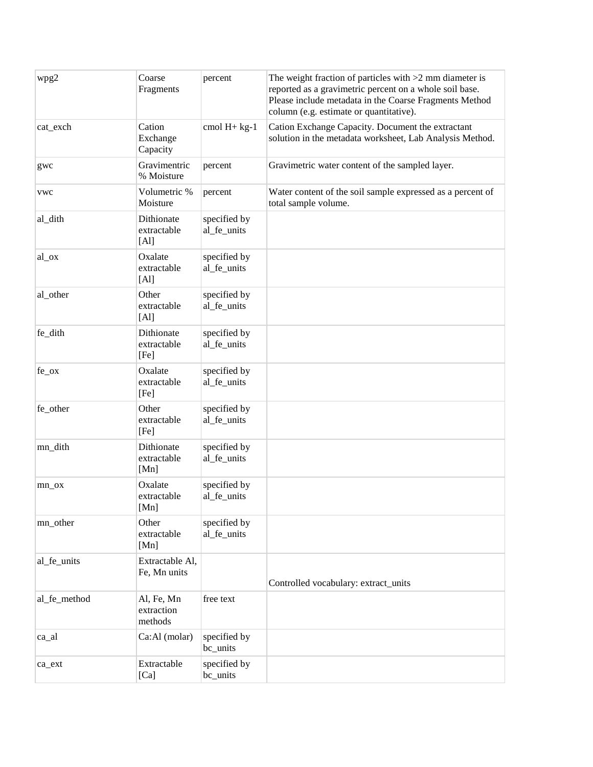| wpg2         | Coarse<br>Fragments                 | percent                     | The weight fraction of particles with $>2$ mm diameter is<br>reported as a gravimetric percent on a whole soil base.<br>Please include metadata in the Coarse Fragments Method<br>column (e.g. estimate or quantitative). |
|--------------|-------------------------------------|-----------------------------|---------------------------------------------------------------------------------------------------------------------------------------------------------------------------------------------------------------------------|
| cat_exch     | Cation<br>Exchange<br>Capacity      | cmol $H+ kg-1$              | Cation Exchange Capacity. Document the extractant<br>solution in the metadata worksheet, Lab Analysis Method.                                                                                                             |
| gwc          | Gravimentric<br>% Moisture          | percent                     | Gravimetric water content of the sampled layer.                                                                                                                                                                           |
| <b>vwc</b>   | Volumetric %<br>Moisture            | percent                     | Water content of the soil sample expressed as a percent of<br>total sample volume.                                                                                                                                        |
| al_dith      | Dithionate<br>extractable<br>[Al]   | specified by<br>al_fe_units |                                                                                                                                                                                                                           |
| al_ox        | Oxalate<br>extractable<br>[Al]      | specified by<br>al_fe_units |                                                                                                                                                                                                                           |
| al_other     | Other<br>extractable<br>[Al]        | specified by<br>al_fe_units |                                                                                                                                                                                                                           |
| fe_dith      | Dithionate<br>extractable<br>[Fe]   | specified by<br>al fe units |                                                                                                                                                                                                                           |
| $fe_{ox}$    | Oxalate<br>extractable<br>[Fe]      | specified by<br>al_fe_units |                                                                                                                                                                                                                           |
| fe_other     | Other<br>extractable<br>[Fe]        | specified by<br>al_fe_units |                                                                                                                                                                                                                           |
| mn_dith      | Dithionate<br>extractable<br>[Mn]   | specified by<br>al_fe_units |                                                                                                                                                                                                                           |
| mn ox        | Oxalate<br>extractable<br>[Mn]      | specified by<br>al_fe_units |                                                                                                                                                                                                                           |
| mn_other     | Other<br>extractable<br>[Mn]        | specified by<br>al_fe_units |                                                                                                                                                                                                                           |
| al_fe_units  | Extractable Al,<br>Fe, Mn units     |                             | Controlled vocabulary: extract_units                                                                                                                                                                                      |
| al_fe_method | Al, Fe, Mn<br>extraction<br>methods | free text                   |                                                                                                                                                                                                                           |
| ca_al        | Ca:Al (molar)                       | specified by<br>bc_units    |                                                                                                                                                                                                                           |
| ca_ext       | Extractable<br>[Ca]                 | specified by<br>bc_units    |                                                                                                                                                                                                                           |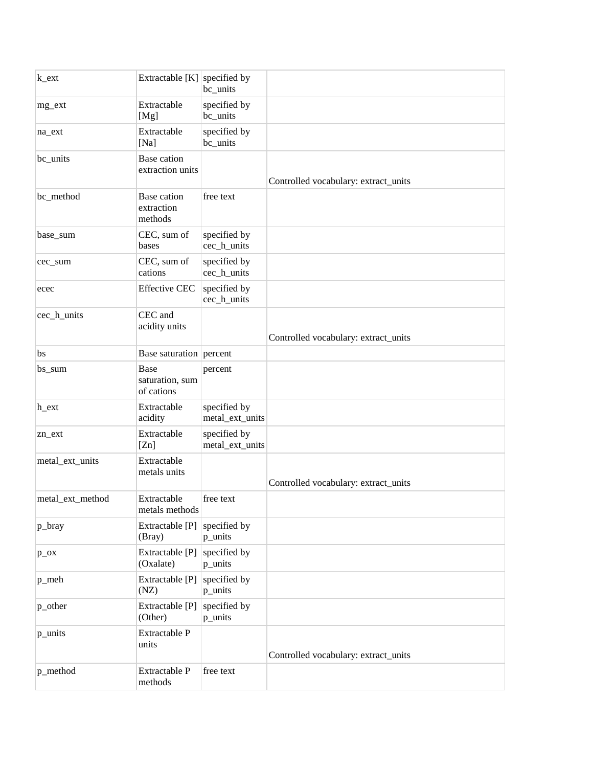| $k$ _ext         | Extractable [K] specified by          | bc_units                        |                                      |
|------------------|---------------------------------------|---------------------------------|--------------------------------------|
| mg_ext           | Extractable<br>[Mg]                   | specified by<br>bc_units        |                                      |
| na_ext           | Extractable<br>[Na]                   | specified by<br>bc_units        |                                      |
| bc_units         | Base cation<br>extraction units       |                                 | Controlled vocabulary: extract_units |
| bc_method        | Base cation<br>extraction<br>methods  | free text                       |                                      |
| base_sum         | CEC, sum of<br>bases                  | specified by<br>cec_h_units     |                                      |
| cec_sum          | CEC, sum of<br>cations                | specified by<br>cec_h_units     |                                      |
| ecec             | <b>Effective CEC</b>                  | specified by<br>cec_h_units     |                                      |
| cec_h_units      | CEC and<br>acidity units              |                                 | Controlled vocabulary: extract_units |
| bs               | Base saturation percent               |                                 |                                      |
| bs_sum           | Base<br>saturation, sum<br>of cations | percent                         |                                      |
| h_ext            | Extractable<br>acidity                | specified by<br>metal_ext_units |                                      |
| zn_ext           | Extractable<br>[Z <sub>n</sub> ]      | specified by<br>metal_ext_units |                                      |
| metal_ext_units  | Extractable<br>metals units           |                                 | Controlled vocabulary: extract_units |
| metal_ext_method | Extractable<br>metals methods         | free text                       |                                      |
| p_bray           | Extractable [P]<br>(Bray)             | specified by<br>p_units         |                                      |
| $p_{o}$          | Extractable [P]<br>(Oxalate)          | specified by<br>p_units         |                                      |
| p_meh            | Extractable [P]<br>(NZ)               | specified by<br>p_units         |                                      |
| p_other          | Extractable [P]<br>(Other)            | specified by<br>p_units         |                                      |
| p_units          | Extractable P<br>units                |                                 | Controlled vocabulary: extract_units |
| p_method         | Extractable P<br>methods              | free text                       |                                      |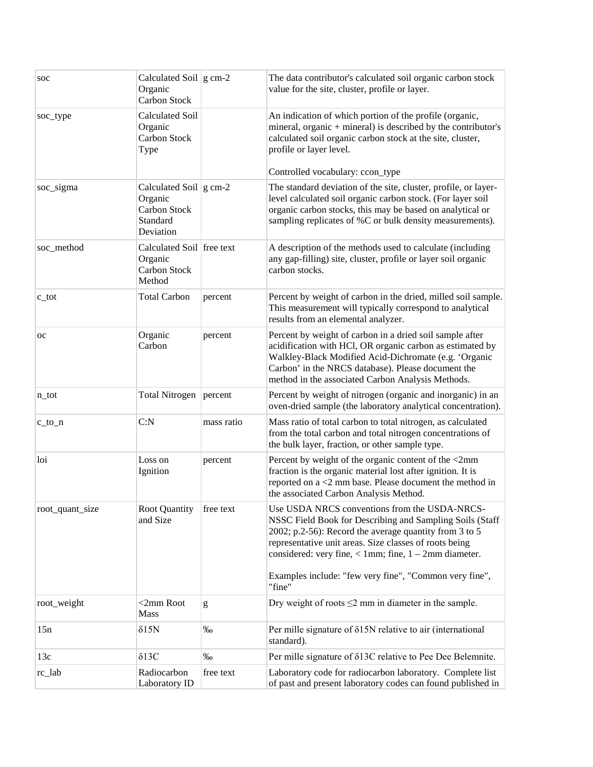| soc              | Calculated Soil $ g \text{ cm-2} $<br>Organic<br><b>Carbon Stock</b>                   |            | The data contributor's calculated soil organic carbon stock<br>value for the site, cluster, profile or layer.                                                                                                                                                                                                                                                        |
|------------------|----------------------------------------------------------------------------------------|------------|----------------------------------------------------------------------------------------------------------------------------------------------------------------------------------------------------------------------------------------------------------------------------------------------------------------------------------------------------------------------|
| soc_type         | <b>Calculated Soil</b><br>Organic<br><b>Carbon Stock</b><br>Type                       |            | An indication of which portion of the profile (organic,<br>mineral, organic $+$ mineral) is described by the contributor's<br>calculated soil organic carbon stock at the site, cluster,<br>profile or layer level.<br>Controlled vocabulary: ccon_type                                                                                                              |
| soc_sigma        | Calculated Soil $ g \text{ cm-2} $<br>Organic<br>Carbon Stock<br>Standard<br>Deviation |            | The standard deviation of the site, cluster, profile, or layer-<br>level calculated soil organic carbon stock. (For layer soil<br>organic carbon stocks, this may be based on analytical or<br>sampling replicates of %C or bulk density measurements).                                                                                                              |
| soc_method       | Calculated Soil free text<br>Organic<br>Carbon Stock<br>Method                         |            | A description of the methods used to calculate (including<br>any gap-filling) site, cluster, profile or layer soil organic<br>carbon stocks.                                                                                                                                                                                                                         |
| $c_{\text{tot}}$ | <b>Total Carbon</b>                                                                    | percent    | Percent by weight of carbon in the dried, milled soil sample.<br>This measurement will typically correspond to analytical<br>results from an elemental analyzer.                                                                                                                                                                                                     |
| <b>OC</b>        | Organic<br>Carbon                                                                      | percent    | Percent by weight of carbon in a dried soil sample after<br>acidification with HCl, OR organic carbon as estimated by<br>Walkley-Black Modified Acid-Dichromate (e.g. 'Organic<br>Carbon' in the NRCS database). Please document the<br>method in the associated Carbon Analysis Methods.                                                                            |
| n_tot            | <b>Total Nitrogen</b>                                                                  | percent    | Percent by weight of nitrogen (organic and inorganic) in an<br>oven-dried sample (the laboratory analytical concentration).                                                                                                                                                                                                                                          |
| $c_to_n$         | C: N                                                                                   | mass ratio | Mass ratio of total carbon to total nitrogen, as calculated<br>from the total carbon and total nitrogen concentrations of<br>the bulk layer, fraction, or other sample type.                                                                                                                                                                                         |
| loi              | Loss on<br>Ignition                                                                    | percent    | Percent by weight of the organic content of the <2mm<br>fraction is the organic material lost after ignition. It is<br>reported on $a < 2$ mm base. Please document the method in<br>the associated Carbon Analysis Method.                                                                                                                                          |
| root_quant_size  | <b>Root Quantity</b><br>and Size                                                       | free text  | Use USDA NRCS conventions from the USDA-NRCS-<br>NSSC Field Book for Describing and Sampling Soils (Staff<br>2002; p.2-56): Record the average quantity from $3$ to $5$<br>representative unit areas. Size classes of roots being<br>considered: very fine, $< 1$ mm; fine, $1 - 2$ mm diameter.<br>Examples include: "few very fine", "Common very fine",<br>"fine" |
| root_weight      | $<$ 2mm Root<br>Mass                                                                   | g          | Dry weight of roots $\leq$ mm in diameter in the sample.                                                                                                                                                                                                                                                                                                             |
| 15n              | $\delta$ 15N                                                                           | $\%$       | Per mille signature of $\delta$ 15N relative to air (international<br>standard).                                                                                                                                                                                                                                                                                     |
| 13c              | $\delta$ 13C                                                                           | $\%$       | Per mille signature of $\delta$ 13C relative to Pee Dee Belemnite.                                                                                                                                                                                                                                                                                                   |
| rc_lab           | Radiocarbon<br>Laboratory ID                                                           | free text  | Laboratory code for radiocarbon laboratory. Complete list<br>of past and present laboratory codes can found published in                                                                                                                                                                                                                                             |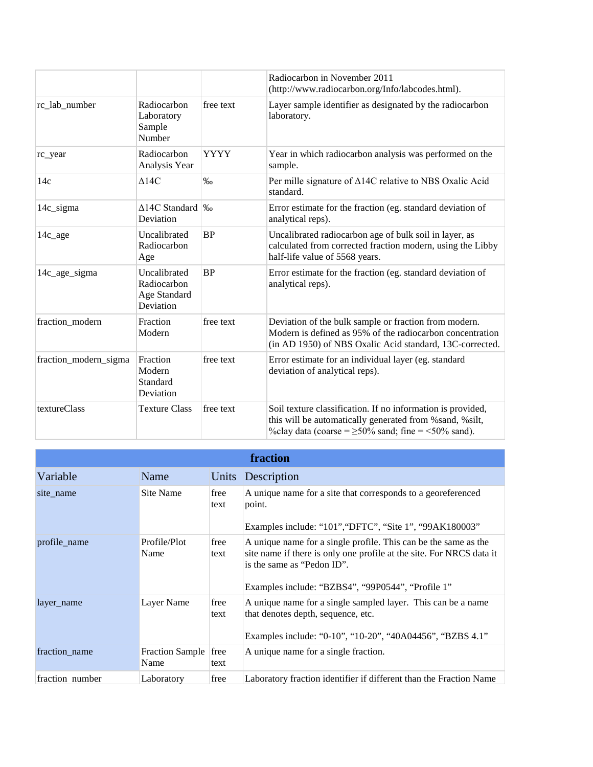|                       |                                                          |                   | Radiocarbon in November 2011<br>(http://www.radiocarbon.org/Info/labcodes.html).                                                                                                   |
|-----------------------|----------------------------------------------------------|-------------------|------------------------------------------------------------------------------------------------------------------------------------------------------------------------------------|
| rc_lab_number         | Radiocarbon<br>Laboratory<br>Sample<br>Number            | free text         | Layer sample identifier as designated by the radiocarbon<br>laboratory.                                                                                                            |
| rc_year               | Radiocarbon<br>Analysis Year                             | <b>YYYY</b>       | Year in which radiocarbon analysis was performed on the<br>sample.                                                                                                                 |
| 14c                   | $\Delta$ 14C                                             | $\%$ <sub>0</sub> | Per mille signature of $\triangle 14C$ relative to NBS Oxalic Acid<br>standard.                                                                                                    |
| 14c_sigma             | $\triangle$ 14C Standard<br>Deviation                    | $\%$              | Error estimate for the fraction (eg. standard deviation of<br>analytical reps).                                                                                                    |
| $14c_$ age            | Uncalibrated<br>Radiocarbon<br>Age                       | <b>BP</b>         | Uncalibrated radiocarbon age of bulk soil in layer, as<br>calculated from corrected fraction modern, using the Libby<br>half-life value of 5568 years.                             |
| 14c_age_sigma         | Uncalibrated<br>Radiocarbon<br>Age Standard<br>Deviation | <b>BP</b>         | Error estimate for the fraction (eg. standard deviation of<br>analytical reps).                                                                                                    |
| fraction_modern       | Fraction<br>Modern                                       | free text         | Deviation of the bulk sample or fraction from modern.<br>Modern is defined as 95% of the radiocarbon concentration<br>(in AD 1950) of NBS Oxalic Acid standard, 13C-corrected.     |
| fraction_modern_sigma | Fraction<br>Modern<br>Standard<br>Deviation              | free text         | Error estimate for an individual layer (eg. standard<br>deviation of analytical reps).                                                                                             |
| textureClass          | <b>Texture Class</b>                                     | free text         | Soil texture classification. If no information is provided,<br>this will be automatically generated from %sand, %silt,<br>%clay data (coarse = $\geq$ 50% sand; fine = <50% sand). |

| fraction        |                                |              |                                                                                                                                                                                                                            |
|-----------------|--------------------------------|--------------|----------------------------------------------------------------------------------------------------------------------------------------------------------------------------------------------------------------------------|
| Variable        | Name                           |              | Units Description                                                                                                                                                                                                          |
| site name       | Site Name                      | free<br>text | A unique name for a site that corresponds to a georeferenced<br>point.<br>Examples include: "101", "DFTC", "Site 1", "99AK180003"                                                                                          |
| profile name    | Profile/Plot<br>Name           | free<br>text | A unique name for a single profile. This can be the same as the<br>site name if there is only one profile at the site. For NRCS data it<br>is the same as "Pedon ID".<br>Examples include: "BZBS4", "99P0544", "Profile 1" |
| layer name      | Layer Name                     | free<br>text | A unique name for a single sampled layer. This can be a name<br>that denotes depth, sequence, etc.<br>Examples include: "0-10", "10-20", "40A04456", "BZBS 4.1"                                                            |
| fraction_name   | <b>Fraction Sample</b><br>Name | free<br>text | A unique name for a single fraction.                                                                                                                                                                                       |
| fraction number | Laboratory                     | free         | Laboratory fraction identifier if different than the Fraction Name                                                                                                                                                         |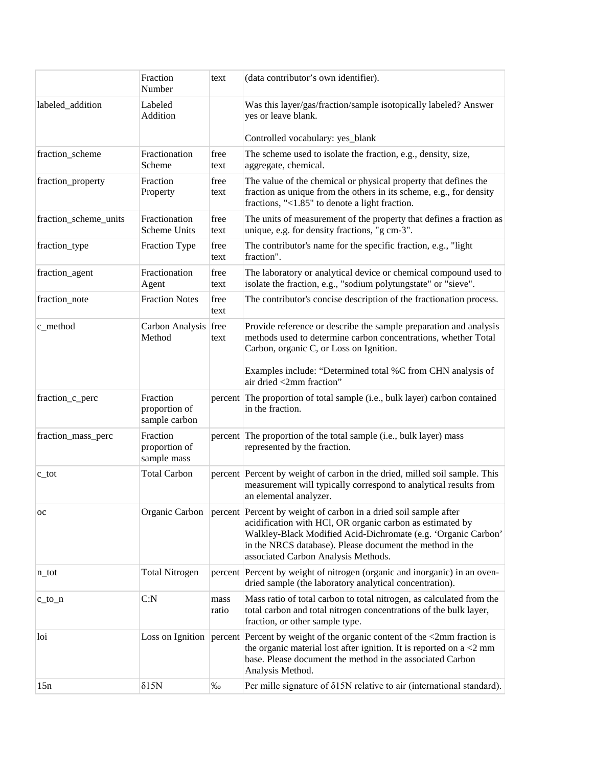|                       | Fraction<br>Number                         | text          | (data contributor's own identifier).                                                                                                                                                                                                                                                                                 |
|-----------------------|--------------------------------------------|---------------|----------------------------------------------------------------------------------------------------------------------------------------------------------------------------------------------------------------------------------------------------------------------------------------------------------------------|
| labeled_addition      | Labeled<br>Addition                        |               | Was this layer/gas/fraction/sample isotopically labeled? Answer<br>yes or leave blank.                                                                                                                                                                                                                               |
|                       |                                            |               | Controlled vocabulary: yes_blank                                                                                                                                                                                                                                                                                     |
| fraction_scheme       | Fractionation<br>Scheme                    | free<br>text  | The scheme used to isolate the fraction, e.g., density, size,<br>aggregate, chemical.                                                                                                                                                                                                                                |
| fraction_property     | Fraction<br>Property                       | free<br>text  | The value of the chemical or physical property that defines the<br>fraction as unique from the others in its scheme, e.g., for density<br>fractions, "<1.85" to denote a light fraction.                                                                                                                             |
| fraction_scheme_units | Fractionation<br>Scheme Units              | free<br>text  | The units of measurement of the property that defines a fraction as<br>unique, e.g. for density fractions, "g cm-3".                                                                                                                                                                                                 |
| fraction_type         | Fraction Type                              | free<br>text  | The contributor's name for the specific fraction, e.g., "light<br>fraction".                                                                                                                                                                                                                                         |
| fraction_agent        | Fractionation<br>Agent                     | free<br>text  | The laboratory or analytical device or chemical compound used to<br>isolate the fraction, e.g., "sodium polytungstate" or "sieve".                                                                                                                                                                                   |
| fraction_note         | <b>Fraction Notes</b>                      | free<br>text  | The contributor's concise description of the fractionation process.                                                                                                                                                                                                                                                  |
| c_method              | Carbon Analysis free<br>Method             | text          | Provide reference or describe the sample preparation and analysis<br>methods used to determine carbon concentrations, whether Total<br>Carbon, organic C, or Loss on Ignition.                                                                                                                                       |
|                       |                                            |               | Examples include: "Determined total %C from CHN analysis of<br>air dried <2mm fraction"                                                                                                                                                                                                                              |
| fraction_c_perc       | Fraction<br>proportion of<br>sample carbon |               | percent The proportion of total sample (i.e., bulk layer) carbon contained<br>in the fraction.                                                                                                                                                                                                                       |
| fraction_mass_perc    | Fraction<br>proportion of<br>sample mass   |               | percent The proportion of the total sample (i.e., bulk layer) mass<br>represented by the fraction.                                                                                                                                                                                                                   |
| $c\_tot$              | <b>Total Carbon</b>                        |               | percent Percent by weight of carbon in the dried, milled soil sample. This<br>measurement will typically correspond to analytical results from<br>an elemental analyzer.                                                                                                                                             |
| <b>OC</b>             |                                            |               | Organic Carbon   percent   Percent by weight of carbon in a dried soil sample after<br>acidification with HCl, OR organic carbon as estimated by<br>Walkley-Black Modified Acid-Dichromate (e.g. 'Organic Carbon'<br>in the NRCS database). Please document the method in the<br>associated Carbon Analysis Methods. |
| $n\_tot$              | <b>Total Nitrogen</b>                      |               | percent Percent by weight of nitrogen (organic and inorganic) in an oven-<br>dried sample (the laboratory analytical concentration).                                                                                                                                                                                 |
| $c_to_n$              | C: N                                       | mass<br>ratio | Mass ratio of total carbon to total nitrogen, as calculated from the<br>total carbon and total nitrogen concentrations of the bulk layer,<br>fraction, or other sample type.                                                                                                                                         |
| loi                   |                                            |               | Loss on Ignition   percent   Percent by weight of the organic content of the <2mm fraction is<br>the organic material lost after ignition. It is reported on $a < 2$ mm<br>base. Please document the method in the associated Carbon<br>Analysis Method.                                                             |
| 15n                   | $\delta$ 15N                               | $\% 0$        | Per mille signature of $\delta$ 15N relative to air (international standard).                                                                                                                                                                                                                                        |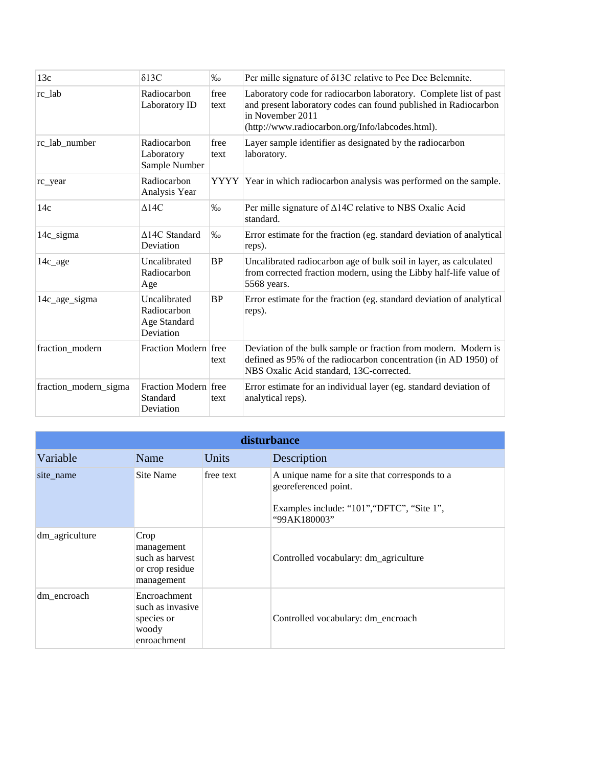| 13c                   | $\delta$ 13C                                             | $\%$         | Per mille signature of δ13C relative to Pee Dee Belemnite.                                                                                                                                                   |
|-----------------------|----------------------------------------------------------|--------------|--------------------------------------------------------------------------------------------------------------------------------------------------------------------------------------------------------------|
| rc_lab                | Radiocarbon<br>Laboratory ID                             | free<br>text | Laboratory code for radiocarbon laboratory. Complete list of past<br>and present laboratory codes can found published in Radiocarbon<br>in November 2011<br>(http://www.radiocarbon.org/Info/labcodes.html). |
| rc lab number         | Radiocarbon<br>Laboratory<br>Sample Number               | free<br>text | Layer sample identifier as designated by the radiocarbon<br>laboratory.                                                                                                                                      |
| rc_year               | Radiocarbon<br>Analysis Year                             |              | YYYY Year in which radiocarbon analysis was performed on the sample.                                                                                                                                         |
| 14c                   | $\Delta 14C$                                             | $\%$         | Per mille signature of $\triangle$ 14C relative to NBS Oxalic Acid<br>standard.                                                                                                                              |
| 14c_sigma             | $\Delta 14C$ Standard<br>Deviation                       | $\%$         | Error estimate for the fraction (eg. standard deviation of analytical<br>reps).                                                                                                                              |
| $14c_$ age            | Uncalibrated<br>Radiocarbon<br>Age                       | BP           | Uncalibrated radiocarbon age of bulk soil in layer, as calculated<br>from corrected fraction modern, using the Libby half-life value of<br>5568 years.                                                       |
| 14c_age_sigma         | Uncalibrated<br>Radiocarbon<br>Age Standard<br>Deviation | <b>BP</b>    | Error estimate for the fraction (eg. standard deviation of analytical<br>reps).                                                                                                                              |
| fraction modern       | Fraction Modern free                                     | text         | Deviation of the bulk sample or fraction from modern. Modern is<br>defined as 95% of the radiocarbon concentration (in AD 1950) of<br>NBS Oxalic Acid standard, 13C-corrected.                               |
| fraction_modern_sigma | Fraction Modern free<br>Standard<br>Deviation            | text         | Error estimate for an individual layer (eg. standard deviation of<br>analytical reps).                                                                                                                       |

| disturbance    |                                                                        |           |                                                                                                                                      |  |
|----------------|------------------------------------------------------------------------|-----------|--------------------------------------------------------------------------------------------------------------------------------------|--|
| Variable       | Name                                                                   | Units     | Description                                                                                                                          |  |
| site name      | Site Name                                                              | free text | A unique name for a site that corresponds to a<br>georeferenced point.<br>Examples include: "101", "DFTC", "Site 1",<br>"99AK180003" |  |
| dm_agriculture | Crop<br>management<br>such as harvest<br>or crop residue<br>management |           | Controlled vocabulary: dm_agriculture                                                                                                |  |
| dm_encroach    | Encroachment<br>such as invasive<br>species or<br>woody<br>enroachment |           | Controlled vocabulary: dm_encroach                                                                                                   |  |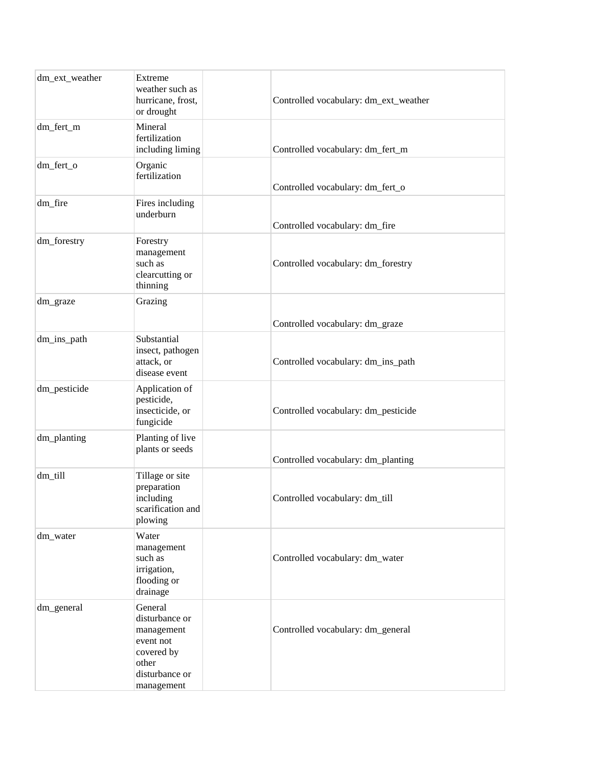| dm_ext_weather | Extreme<br>weather such as<br>hurricane, frost,<br>or drought                                               | Controlled vocabulary: dm_ext_weather |
|----------------|-------------------------------------------------------------------------------------------------------------|---------------------------------------|
| dm_fert_m      | Mineral<br>fertilization<br>including liming                                                                | Controlled vocabulary: dm_fert_m      |
| dm_fert_o      | Organic<br>fertilization                                                                                    | Controlled vocabulary: dm_fert_o      |
| dm_fire        | Fires including<br>underburn                                                                                | Controlled vocabulary: dm_fire        |
| dm_forestry    | Forestry<br>management<br>such as<br>clearcutting or<br>thinning                                            | Controlled vocabulary: dm_forestry    |
| dm_graze       | Grazing                                                                                                     | Controlled vocabulary: dm_graze       |
| dm_ins_path    | Substantial<br>insect, pathogen<br>attack, or<br>disease event                                              | Controlled vocabulary: dm_ins_path    |
| dm_pesticide   | Application of<br>pesticide,<br>insecticide, or<br>fungicide                                                | Controlled vocabulary: dm_pesticide   |
| dm_planting    | Planting of live<br>plants or seeds                                                                         | Controlled vocabulary: dm_planting    |
| dm_till        | Tillage or site<br>preparation<br>including<br>scarification and<br>plowing                                 | Controlled vocabulary: dm_till        |
| dm_water       | Water<br>management<br>such as<br>irrigation,<br>flooding or<br>drainage                                    | Controlled vocabulary: dm_water       |
| dm_general     | General<br>disturbance or<br>management<br>event not<br>covered by<br>other<br>disturbance or<br>management | Controlled vocabulary: dm_general     |